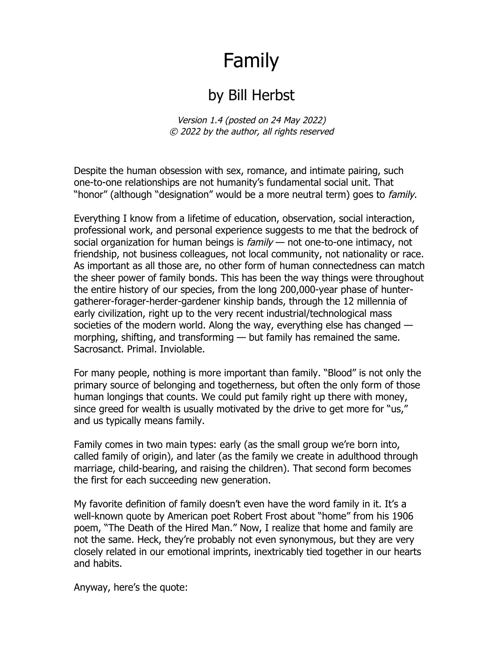## Family

## by Bill Herbst

Version 1.4 (posted on 24 May 2022) © 2022 by the author, all rights reserved

Despite the human obsession with sex, romance, and intimate pairing, such one-to-one relationships are not humanity's fundamental social unit. That "honor" (although "designation" would be a more neutral term) goes to *family*.

Everything I know from a lifetime of education, observation, social interaction, professional work, and personal experience suggests to me that the bedrock of social organization for human beings is  $family$  — not one-to-one intimacy, not friendship, not business colleagues, not local community, not nationality or race. As important as all those are, no other form of human connectedness can match the sheer power of family bonds. This has been the way things were throughout the entire history of our species, from the long 200,000-year phase of huntergatherer-forager-herder-gardener kinship bands, through the 12 millennia of early civilization, right up to the very recent industrial/technological mass societies of the modern world. Along the way, everything else has changed morphing, shifting, and transforming — but family has remained the same. Sacrosanct. Primal. Inviolable.

For many people, nothing is more important than family. "Blood" is not only the primary source of belonging and togetherness, but often the only form of those human longings that counts. We could put family right up there with money, since greed for wealth is usually motivated by the drive to get more for "us," and us typically means family.

Family comes in two main types: early (as the small group we're born into, called family of origin), and later (as the family we create in adulthood through marriage, child-bearing, and raising the children). That second form becomes the first for each succeeding new generation.

My favorite definition of family doesn't even have the word family in it. It's a well-known quote by American poet Robert Frost about "home" from his 1906 poem, "The Death of the Hired Man." Now, I realize that home and family are not the same. Heck, they're probably not even synonymous, but they are very closely related in our emotional imprints, inextricably tied together in our hearts and habits.

Anyway, here's the quote: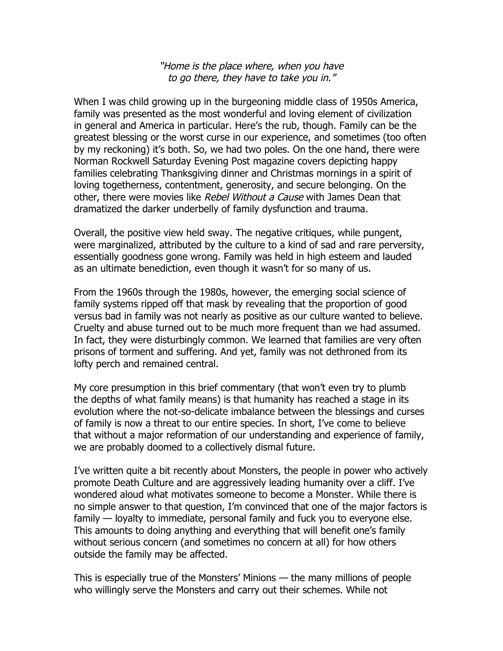"Home is the place where, when you have to go there, they have to take you in."

When I was child growing up in the burgeoning middle class of 1950s America, family was presented as the most wonderful and loving element of civilization in general and America in particular. Here's the rub, though. Family can be the greatest blessing or the worst curse in our experience, and sometimes (too often by my reckoning) it's both. So, we had two poles. On the one hand, there were Norman Rockwell Saturday Evening Post magazine covers depicting happy families celebrating Thanksgiving dinner and Christmas mornings in a spirit of loving togetherness, contentment, generosity, and secure belonging. On the other, there were movies like Rebel Without a Cause with James Dean that dramatized the darker underbelly of family dysfunction and trauma.

Overall, the positive view held sway. The negative critiques, while pungent, were marginalized, attributed by the culture to a kind of sad and rare perversity, essentially goodness gone wrong. Family was held in high esteem and lauded as an ultimate benediction, even though it wasn't for so many of us.

From the 1960s through the 1980s, however, the emerging social science of family systems ripped off that mask by revealing that the proportion of good versus bad in family was not nearly as positive as our culture wanted to believe. Cruelty and abuse turned out to be much more frequent than we had assumed. In fact, they were disturbingly common. We learned that families are very often prisons of torment and suffering. And yet, family was not dethroned from its lofty perch and remained central.

My core presumption in this brief commentary (that won't even try to plumb the depths of what family means) is that humanity has reached a stage in its evolution where the not-so-delicate imbalance between the blessings and curses of family is now a threat to our entire species. In short, I've come to believe that without a major reformation of our understanding and experience of family, we are probably doomed to a collectively dismal future.

I've written quite a bit recently about Monsters, the people in power who actively promote Death Culture and are aggressively leading humanity over a cliff. I've wondered aloud what motivates someone to become a Monster. While there is no simple answer to that question, I'm convinced that one of the major factors is family — loyalty to immediate, personal family and fuck you to everyone else. This amounts to doing anything and everything that will benefit one's family without serious concern (and sometimes no concern at all) for how others outside the family may be affected.

This is especially true of the Monsters' Minions — the many millions of people who willingly serve the Monsters and carry out their schemes. While not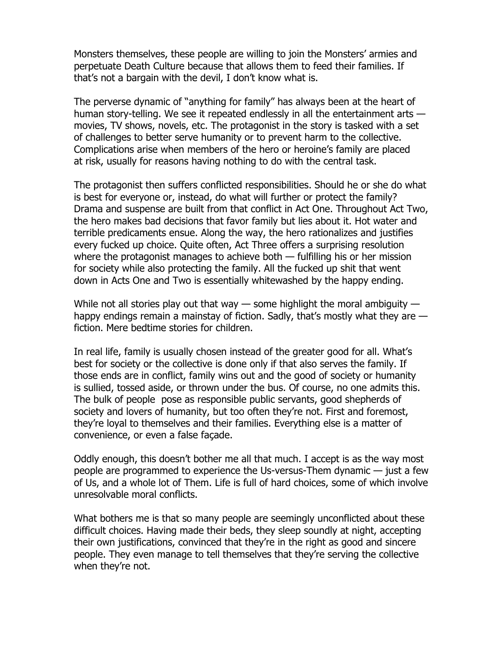Monsters themselves, these people are willing to join the Monsters' armies and perpetuate Death Culture because that allows them to feed their families. If that's not a bargain with the devil, I don't know what is.

The perverse dynamic of "anything for family" has always been at the heart of human story-telling. We see it repeated endlessly in all the entertainment arts movies, TV shows, novels, etc. The protagonist in the story is tasked with a set of challenges to better serve humanity or to prevent harm to the collective. Complications arise when members of the hero or heroine's family are placed at risk, usually for reasons having nothing to do with the central task.

The protagonist then suffers conflicted responsibilities. Should he or she do what is best for everyone or, instead, do what will further or protect the family? Drama and suspense are built from that conflict in Act One. Throughout Act Two, the hero makes bad decisions that favor family but lies about it. Hot water and terrible predicaments ensue. Along the way, the hero rationalizes and justifies every fucked up choice. Quite often, Act Three offers a surprising resolution where the protagonist manages to achieve both — fulfilling his or her mission for society while also protecting the family. All the fucked up shit that went down in Acts One and Two is essentially whitewashed by the happy ending.

While not all stories play out that way  $-$  some highlight the moral ambiguity  $$ happy endings remain a mainstay of fiction. Sadly, that's mostly what they are  $$ fiction. Mere bedtime stories for children.

In real life, family is usually chosen instead of the greater good for all. What's best for society or the collective is done only if that also serves the family. If those ends are in conflict, family wins out and the good of society or humanity is sullied, tossed aside, or thrown under the bus. Of course, no one admits this. The bulk of people pose as responsible public servants, good shepherds of society and lovers of humanity, but too often they're not. First and foremost, they're loyal to themselves and their families. Everything else is a matter of convenience, or even a false façade.

Oddly enough, this doesn't bother me all that much. I accept is as the way most people are programmed to experience the Us-versus-Them dynamic — just a few of Us, and a whole lot of Them. Life is full of hard choices, some of which involve unresolvable moral conflicts.

What bothers me is that so many people are seemingly unconflicted about these difficult choices. Having made their beds, they sleep soundly at night, accepting their own justifications, convinced that they're in the right as good and sincere people. They even manage to tell themselves that they're serving the collective when they're not.